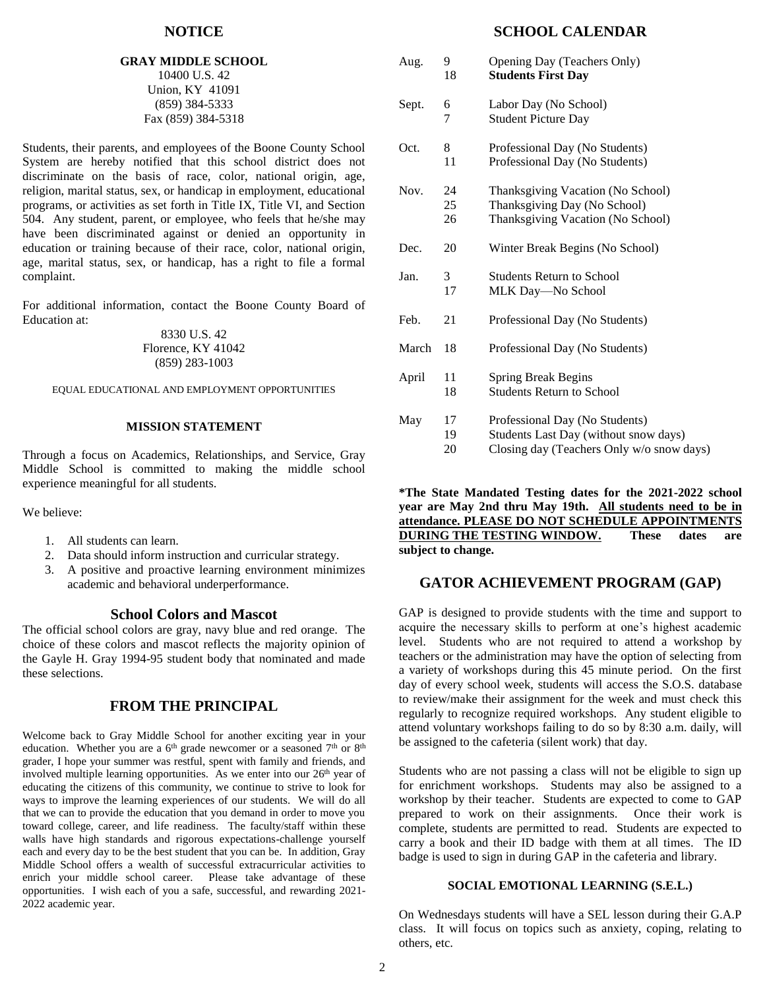### **NOTICE**

#### **GRAY MIDDLE SCHOOL** 10400 U.S. 42 Union, KY 41091 (859) 384-5333 Fax (859) 384-5318

Students, their parents, and employees of the Boone County School System are hereby notified that this school district does not discriminate on the basis of race, color, national origin, age, religion, marital status, sex, or handicap in employment, educational programs, or activities as set forth in Title IX, Title VI, and Section 504. Any student, parent, or employee, who feels that he/she may have been discriminated against or denied an opportunity in education or training because of their race, color, national origin, age, marital status, sex, or handicap, has a right to file a formal complaint.

For additional information, contact the Boone County Board of Education at:

### 8330 U.S. 42 Florence, KY 41042 (859) 283-1003

EQUAL EDUCATIONAL AND EMPLOYMENT OPPORTUNITIES

#### **MISSION STATEMENT**

Through a focus on Academics, Relationships, and Service, Gray Middle School is committed to making the middle school experience meaningful for all students.

We believe:

- 1. All students can learn.
- 2. Data should inform instruction and curricular strategy.
- 3. A positive and proactive learning environment minimizes academic and behavioral underperformance.

### **School Colors and Mascot**

The official school colors are gray, navy blue and red orange. The choice of these colors and mascot reflects the majority opinion of the Gayle H. Gray 1994-95 student body that nominated and made these selections.

## **FROM THE PRINCIPAL**

Welcome back to Gray Middle School for another exciting year in your education. Whether you are a  $6<sup>th</sup>$  grade newcomer or a seasoned  $7<sup>th</sup>$  or  $8<sup>th</sup>$ grader, I hope your summer was restful, spent with family and friends, and involved multiple learning opportunities. As we enter into our  $26<sup>th</sup>$  year of educating the citizens of this community, we continue to strive to look for ways to improve the learning experiences of our students. We will do all that we can to provide the education that you demand in order to move you toward college, career, and life readiness. The faculty/staff within these walls have high standards and rigorous expectations-challenge yourself each and every day to be the best student that you can be. In addition, Gray Middle School offers a wealth of successful extracurricular activities to enrich your middle school career. Please take advantage of these opportunities. I wish each of you a safe, successful, and rewarding 2021- 2022 academic year.

## **SCHOOL CALENDAR**

| Aug.  | 9<br>18        | Opening Day (Teachers Only)<br><b>Students First Day</b>                                                             |
|-------|----------------|----------------------------------------------------------------------------------------------------------------------|
| Sept. | 6<br>7         | Labor Day (No School)<br><b>Student Picture Day</b>                                                                  |
| Oct.  | 8<br>11        | Professional Day (No Students)<br>Professional Day (No Students)                                                     |
| Nov.  | 24<br>25<br>26 | Thanksgiving Vacation (No School)<br>Thanksgiving Day (No School)<br>Thanksgiving Vacation (No School)               |
| Dec.  | 20             | Winter Break Begins (No School)                                                                                      |
| Jan.  | 3<br>17        | <b>Students Return to School</b><br>MLK Day-No School                                                                |
| Feb.  | 21             | Professional Day (No Students)                                                                                       |
| March | 18             | Professional Day (No Students)                                                                                       |
| April | 11<br>18       | <b>Spring Break Begins</b><br><b>Students Return to School</b>                                                       |
| May   | 17<br>19<br>20 | Professional Day (No Students)<br>Students Last Day (without snow days)<br>Closing day (Teachers Only w/o snow days) |

**\*The State Mandated Testing dates for the 2021-2022 school year are May 2nd thru May 19th. All students need to be in attendance. PLEASE DO NOT SCHEDULE APPOINTMENTS DURING THE TESTING WINDOW. These dates are subject to change.**

## **GATOR ACHIEVEMENT PROGRAM (GAP)**

GAP is designed to provide students with the time and support to acquire the necessary skills to perform at one's highest academic level. Students who are not required to attend a workshop by teachers or the administration may have the option of selecting from a variety of workshops during this 45 minute period. On the first day of every school week, students will access the S.O.S. database to review/make their assignment for the week and must check this regularly to recognize required workshops. Any student eligible to attend voluntary workshops failing to do so by 8:30 a.m. daily, will be assigned to the cafeteria (silent work) that day.

Students who are not passing a class will not be eligible to sign up for enrichment workshops. Students may also be assigned to a workshop by their teacher. Students are expected to come to GAP prepared to work on their assignments. Once their work is complete, students are permitted to read. Students are expected to carry a book and their ID badge with them at all times. The ID badge is used to sign in during GAP in the cafeteria and library.

#### **SOCIAL EMOTIONAL LEARNING (S.E.L.)**

On Wednesdays students will have a SEL lesson during their G.A.P class. It will focus on topics such as anxiety, coping, relating to others, etc.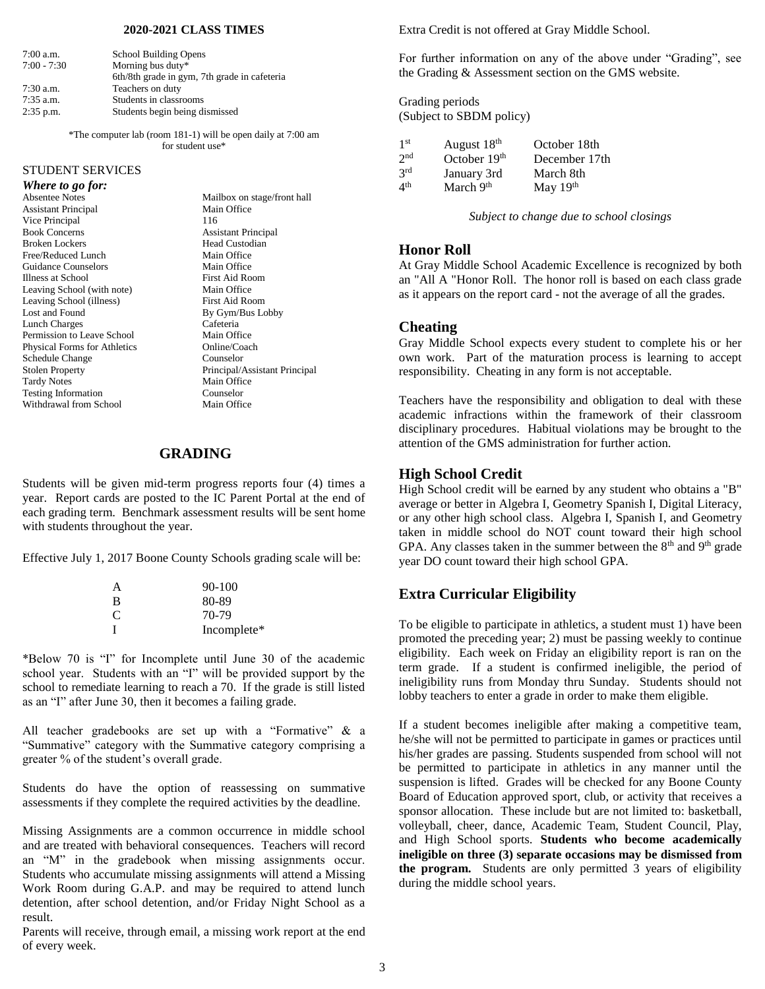#### **2020-2021 CLASS TIMES**

| $7:00$ a.m.   | School Building Opens                        |
|---------------|----------------------------------------------|
| $7:00 - 7:30$ | Morning bus duty*                            |
|               | 6th/8th grade in gym, 7th grade in cafeteria |
| $7:30$ a.m.   | Teachers on duty                             |
| $7:35$ a.m.   | Students in classrooms                       |
| $2:35$ p.m.   | Students begin being dismissed               |

\*The computer lab (room 181-1) will be open daily at 7:00 am for student use\*

## STUDENT SERVICES

#### *Where to go for:*

Assistant Principal Main Office Vice Principal 116<br>
Book Concerns
2008 Broken Lockers Head Custodian Free/Reduced Lunch Main Office<br>Guidance Counselors Main Office Guidance Counselors Illness at School First Aid Room Leaving School (with note) Main Office Leaving School (illness) First Aid Room Lost and Found By Gym/Bus Lobby Lunch Charges Cafeteria Permission to Leave School Main Office Physical Forms for Athletics Online/Coach Schedule Change Counselor<br>Stolen Property Principal/A Tardy Notes<br>
Testing Information<br>
Counselor Testing Information Counselor<br>Withdrawal from School Main Office Withdrawal from School

Absentee Notes Mailbox on stage/front hall Assistant Principal Principal/Assistant Principal

## **GRADING**

Students will be given mid-term progress reports four (4) times a year. Report cards are posted to the IC Parent Portal at the end of each grading term. Benchmark assessment results will be sent home with students throughout the year.

Effective July 1, 2017 Boone County Schools grading scale will be:

| А | $90-100$    |
|---|-------------|
| в | 80-89       |
| C | 70-79       |
| Ī | Incomplete* |

\*Below 70 is "I" for Incomplete until June 30 of the academic school year. Students with an "I" will be provided support by the school to remediate learning to reach a 70. If the grade is still listed as an "I" after June 30, then it becomes a failing grade.

All teacher gradebooks are set up with a "Formative" & a "Summative" category with the Summative category comprising a greater % of the student's overall grade.

Students do have the option of reassessing on summative assessments if they complete the required activities by the deadline.

Missing Assignments are a common occurrence in middle school and are treated with behavioral consequences. Teachers will record an "M" in the gradebook when missing assignments occur. Students who accumulate missing assignments will attend a Missing Work Room during G.A.P. and may be required to attend lunch detention, after school detention, and/or Friday Night School as a result.

Parents will receive, through email, a missing work report at the end of every week.

Extra Credit is not offered at Gray Middle School.

For further information on any of the above under "Grading", see the Grading & Assessment section on the GMS website.

Grading periods (Subject to SBDM policy)

| 1 <sup>st</sup> | August 18 <sup>th</sup> | October 18th  |
|-----------------|-------------------------|---------------|
| 2 <sub>nd</sub> | October $19th$          | December 17th |
| 3rd             | January 3rd             | March 8th     |
| $4^{\rm th}$    | March $9th$             | May $19th$    |

*Subject to change due to school closings*

#### **Honor Roll**

At Gray Middle School Academic Excellence is recognized by both an "All A "Honor Roll. The honor roll is based on each class grade as it appears on the report card - not the average of all the grades.

#### **Cheating**

Gray Middle School expects every student to complete his or her own work. Part of the maturation process is learning to accept responsibility. Cheating in any form is not acceptable.

Teachers have the responsibility and obligation to deal with these academic infractions within the framework of their classroom disciplinary procedures. Habitual violations may be brought to the attention of the GMS administration for further action.

#### **High School Credit**

High School credit will be earned by any student who obtains a "B" average or better in Algebra I, Geometry Spanish I, Digital Literacy, or any other high school class. Algebra I, Spanish I, and Geometry taken in middle school do NOT count toward their high school GPA. Any classes taken in the summer between the  $8<sup>th</sup>$  and  $9<sup>th</sup>$  grade year DO count toward their high school GPA.

## **Extra Curricular Eligibility**

To be eligible to participate in athletics, a student must 1) have been promoted the preceding year; 2) must be passing weekly to continue eligibility. Each week on Friday an eligibility report is ran on the term grade. If a student is confirmed ineligible, the period of ineligibility runs from Monday thru Sunday. Students should not lobby teachers to enter a grade in order to make them eligible.

If a student becomes ineligible after making a competitive team, he/she will not be permitted to participate in games or practices until his/her grades are passing. Students suspended from school will not be permitted to participate in athletics in any manner until the suspension is lifted. Grades will be checked for any Boone County Board of Education approved sport, club, or activity that receives a sponsor allocation. These include but are not limited to: basketball, volleyball, cheer, dance, Academic Team, Student Council, Play, and High School sports. **Students who become academically ineligible on three (3) separate occasions may be dismissed from the program.** Students are only permitted 3 years of eligibility during the middle school years.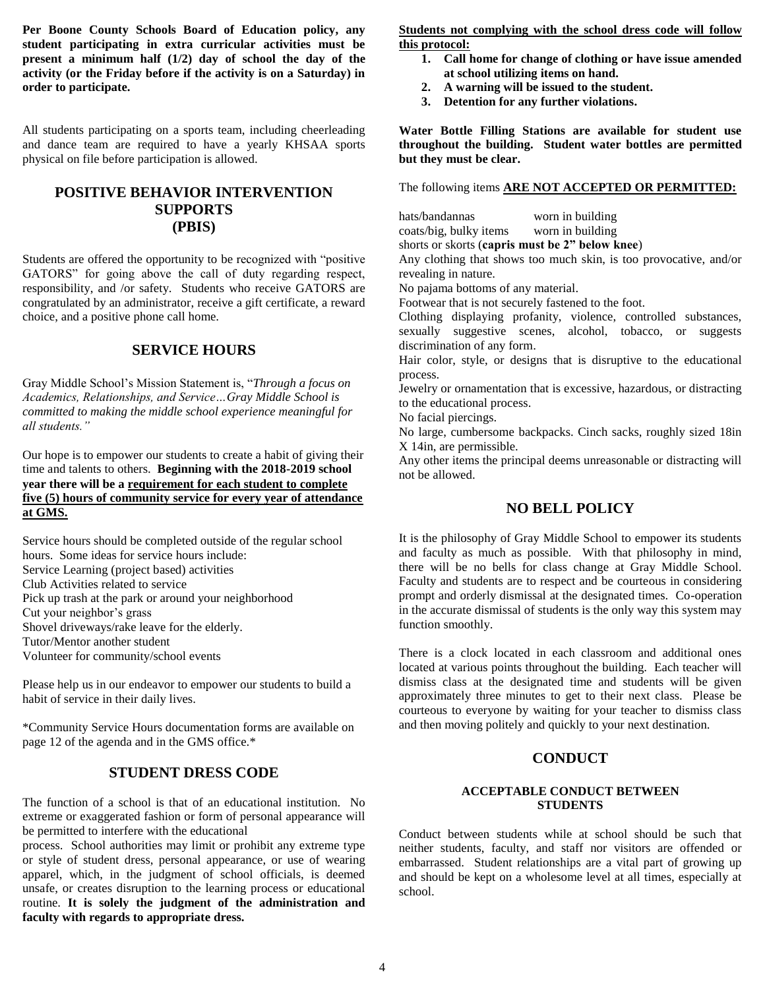**Per Boone County Schools Board of Education policy, any student participating in extra curricular activities must be present a minimum half (1/2) day of school the day of the activity (or the Friday before if the activity is on a Saturday) in order to participate.**

All students participating on a sports team, including cheerleading and dance team are required to have a yearly KHSAA sports physical on file before participation is allowed.

# **POSITIVE BEHAVIOR INTERVENTION SUPPORTS (PBIS)**

Students are offered the opportunity to be recognized with "positive GATORS" for going above the call of duty regarding respect, responsibility, and /or safety. Students who receive GATORS are congratulated by an administrator, receive a gift certificate, a reward choice, and a positive phone call home.

## **SERVICE HOURS**

Gray Middle School's Mission Statement is, "*Through a focus on Academics, Relationships, and Service…Gray Middle School is committed to making the middle school experience meaningful for all students."* 

Our hope is to empower our students to create a habit of giving their time and talents to others. **Beginning with the 2018-2019 school year there will be a requirement for each student to complete five (5) hours of community service for every year of attendance at GMS.**

Service hours should be completed outside of the regular school hours. Some ideas for service hours include: Service Learning (project based) activities Club Activities related to service Pick up trash at the park or around your neighborhood Cut your neighbor's grass Shovel driveways/rake leave for the elderly. Tutor/Mentor another student Volunteer for community/school events

Please help us in our endeavor to empower our students to build a habit of service in their daily lives.

\*Community Service Hours documentation forms are available on page 12 of the agenda and in the GMS office.\*

## **STUDENT DRESS CODE**

The function of a school is that of an educational institution. No extreme or exaggerated fashion or form of personal appearance will be permitted to interfere with the educational

process. School authorities may limit or prohibit any extreme type or style of student dress, personal appearance, or use of wearing apparel, which, in the judgment of school officials, is deemed unsafe, or creates disruption to the learning process or educational routine. **It is solely the judgment of the administration and faculty with regards to appropriate dress.**

**Students not complying with the school dress code will follow this protocol:** 

- **1. Call home for change of clothing or have issue amended at school utilizing items on hand.**
- **2. A warning will be issued to the student.**
- **3. Detention for any further violations.**

**Water Bottle Filling Stations are available for student use throughout the building. Student water bottles are permitted but they must be clear.** 

The following items **ARE NOT ACCEPTED OR PERMITTED:**

hats/bandannas worn in building coats/big, bulky items worn in building shorts or skorts (**capris must be 2" below knee**)

Any clothing that shows too much skin, is too provocative, and/or revealing in nature.

No pajama bottoms of any material.

Footwear that is not securely fastened to the foot.

Clothing displaying profanity, violence, controlled substances, sexually suggestive scenes, alcohol, tobacco, or suggests discrimination of any form.

Hair color, style, or designs that is disruptive to the educational process.

Jewelry or ornamentation that is excessive, hazardous, or distracting to the educational process.

No facial piercings.

No large, cumbersome backpacks. Cinch sacks, roughly sized 18in X 14in, are permissible.

Any other items the principal deems unreasonable or distracting will not be allowed.

## **NO BELL POLICY**

It is the philosophy of Gray Middle School to empower its students and faculty as much as possible. With that philosophy in mind, there will be no bells for class change at Gray Middle School. Faculty and students are to respect and be courteous in considering prompt and orderly dismissal at the designated times. Co-operation in the accurate dismissal of students is the only way this system may function smoothly.

There is a clock located in each classroom and additional ones located at various points throughout the building. Each teacher will dismiss class at the designated time and students will be given approximately three minutes to get to their next class. Please be courteous to everyone by waiting for your teacher to dismiss class and then moving politely and quickly to your next destination.

## **CONDUCT**

#### **ACCEPTABLE CONDUCT BETWEEN STUDENTS**

Conduct between students while at school should be such that neither students, faculty, and staff nor visitors are offended or embarrassed. Student relationships are a vital part of growing up and should be kept on a wholesome level at all times, especially at school.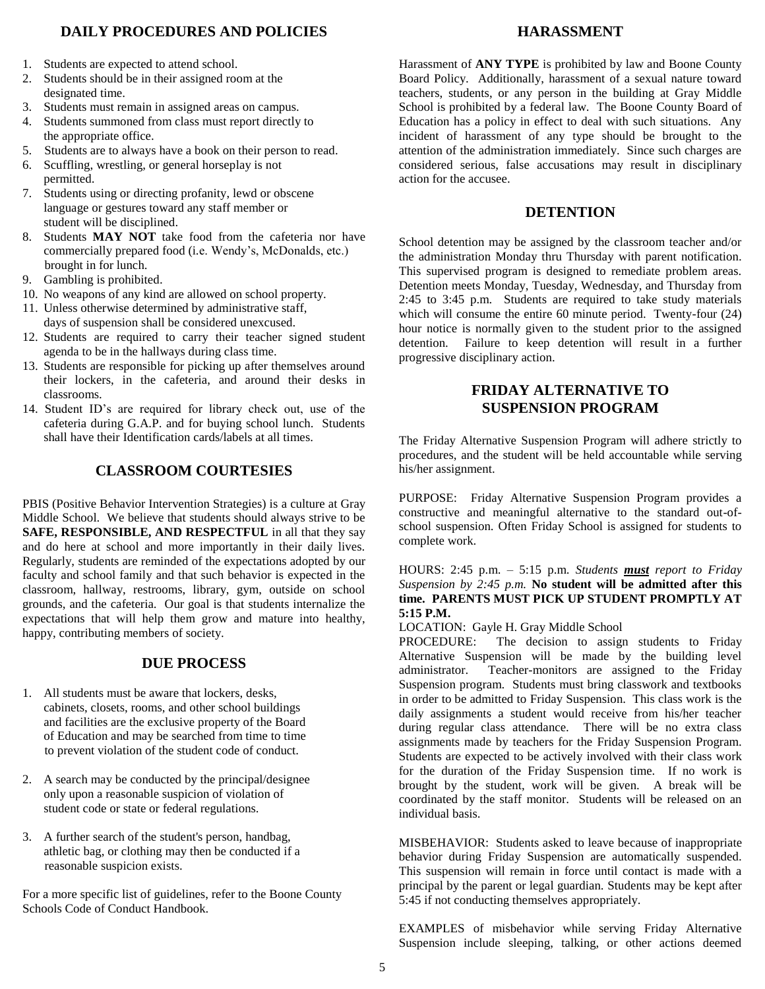# **DAILY PROCEDURES AND POLICIES**

- 1. Students are expected to attend school.
- 2. Students should be in their assigned room at the designated time.
- 3. Students must remain in assigned areas on campus.
- 4. Students summoned from class must report directly to the appropriate office.
- 5. Students are to always have a book on their person to read.
- 6. Scuffling, wrestling, or general horseplay is not permitted.
- 7. Students using or directing profanity, lewd or obscene language or gestures toward any staff member or student will be disciplined.
- 8. Students **MAY NOT** take food from the cafeteria nor have commercially prepared food (i.e. Wendy's, McDonalds, etc.) brought in for lunch.
- 9. Gambling is prohibited.
- 10. No weapons of any kind are allowed on school property.
- 11. Unless otherwise determined by administrative staff, days of suspension shall be considered unexcused.
- 12. Students are required to carry their teacher signed student agenda to be in the hallways during class time.
- 13. Students are responsible for picking up after themselves around their lockers, in the cafeteria, and around their desks in classrooms.
- 14. Student ID's are required for library check out, use of the cafeteria during G.A.P. and for buying school lunch. Students shall have their Identification cards/labels at all times.

# **CLASSROOM COURTESIES**

PBIS (Positive Behavior Intervention Strategies) is a culture at Gray Middle School. We believe that students should always strive to be **SAFE, RESPONSIBLE, AND RESPECTFUL** in all that they say and do here at school and more importantly in their daily lives. Regularly, students are reminded of the expectations adopted by our faculty and school family and that such behavior is expected in the classroom, hallway, restrooms, library, gym, outside on school grounds, and the cafeteria. Our goal is that students internalize the expectations that will help them grow and mature into healthy, happy, contributing members of society.

## **DUE PROCESS**

- 1. All students must be aware that lockers, desks, cabinets, closets, rooms, and other school buildings and facilities are the exclusive property of the Board of Education and may be searched from time to time to prevent violation of the student code of conduct.
- 2. A search may be conducted by the principal/designee only upon a reasonable suspicion of violation of student code or state or federal regulations.
- 3. A further search of the student's person, handbag, athletic bag, or clothing may then be conducted if a reasonable suspicion exists.

For a more specific list of guidelines, refer to the Boone County Schools Code of Conduct Handbook.

## **HARASSMENT**

Harassment of **ANY TYPE** is prohibited by law and Boone County Board Policy. Additionally, harassment of a sexual nature toward teachers, students, or any person in the building at Gray Middle School is prohibited by a federal law. The Boone County Board of Education has a policy in effect to deal with such situations. Any incident of harassment of any type should be brought to the attention of the administration immediately. Since such charges are considered serious, false accusations may result in disciplinary action for the accusee.

## **DETENTION**

School detention may be assigned by the classroom teacher and/or the administration Monday thru Thursday with parent notification. This supervised program is designed to remediate problem areas. Detention meets Monday, Tuesday, Wednesday, and Thursday from 2:45 to 3:45 p.m. Students are required to take study materials which will consume the entire 60 minute period. Twenty-four  $(24)$ hour notice is normally given to the student prior to the assigned detention. Failure to keep detention will result in a further progressive disciplinary action.

# **FRIDAY ALTERNATIVE TO SUSPENSION PROGRAM**

The Friday Alternative Suspension Program will adhere strictly to procedures, and the student will be held accountable while serving his/her assignment.

PURPOSE: Friday Alternative Suspension Program provides a constructive and meaningful alternative to the standard out-ofschool suspension. Often Friday School is assigned for students to complete work.

#### HOURS: 2:45 p.m. – 5:15 p.m. *Students must report to Friday Suspension by 2:45 p.m.* **No student will be admitted after this time. PARENTS MUST PICK UP STUDENT PROMPTLY AT 5:15 P.M.**

LOCATION: Gayle H. Gray Middle School

PROCEDURE: The decision to assign students to Friday Alternative Suspension will be made by the building level administrator. Teacher-monitors are assigned to the Friday Suspension program. Students must bring classwork and textbooks in order to be admitted to Friday Suspension. This class work is the daily assignments a student would receive from his/her teacher during regular class attendance. There will be no extra class assignments made by teachers for the Friday Suspension Program. Students are expected to be actively involved with their class work for the duration of the Friday Suspension time. If no work is brought by the student, work will be given. A break will be coordinated by the staff monitor. Students will be released on an individual basis.

MISBEHAVIOR: Students asked to leave because of inappropriate behavior during Friday Suspension are automatically suspended. This suspension will remain in force until contact is made with a principal by the parent or legal guardian. Students may be kept after 5:45 if not conducting themselves appropriately.

EXAMPLES of misbehavior while serving Friday Alternative Suspension include sleeping, talking, or other actions deemed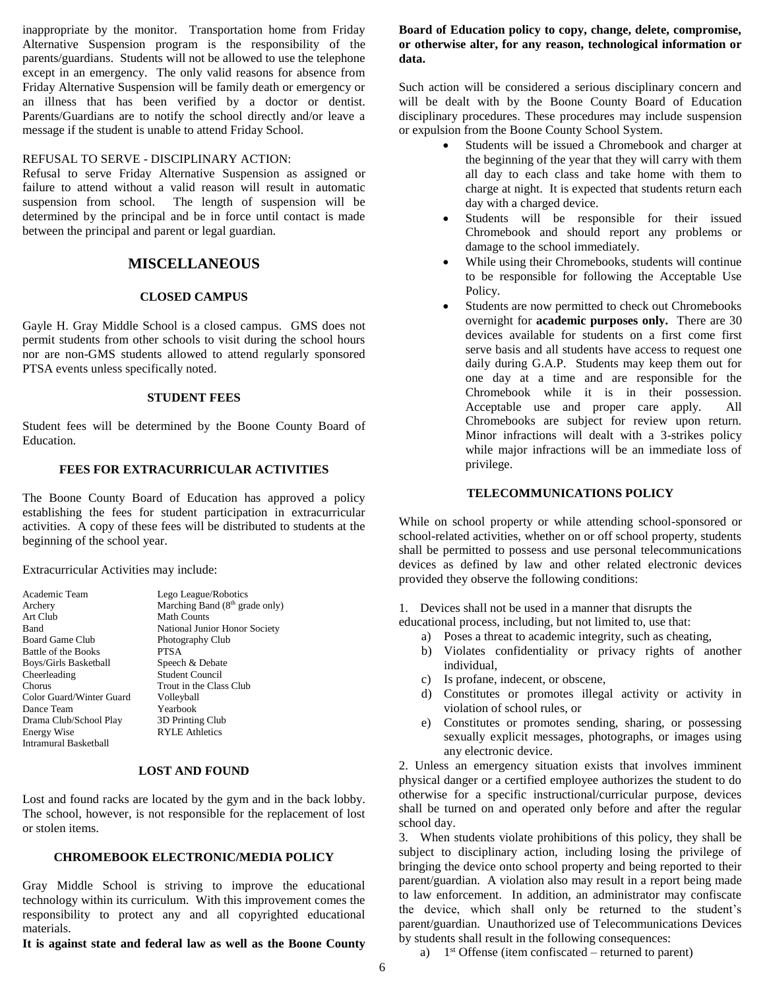inappropriate by the monitor. Transportation home from Friday Alternative Suspension program is the responsibility of the parents/guardians. Students will not be allowed to use the telephone except in an emergency. The only valid reasons for absence from Friday Alternative Suspension will be family death or emergency or an illness that has been verified by a doctor or dentist. Parents/Guardians are to notify the school directly and/or leave a message if the student is unable to attend Friday School.

#### REFUSAL TO SERVE - DISCIPLINARY ACTION:

Refusal to serve Friday Alternative Suspension as assigned or failure to attend without a valid reason will result in automatic suspension from school. The length of suspension will be determined by the principal and be in force until contact is made between the principal and parent or legal guardian.

## **MISCELLANEOUS**

#### **CLOSED CAMPUS**

Gayle H. Gray Middle School is a closed campus. GMS does not permit students from other schools to visit during the school hours nor are non-GMS students allowed to attend regularly sponsored PTSA events unless specifically noted.

#### **STUDENT FEES**

Student fees will be determined by the Boone County Board of Education.

#### **FEES FOR EXTRACURRICULAR ACTIVITIES**

The Boone County Board of Education has approved a policy establishing the fees for student participation in extracurricular activities. A copy of these fees will be distributed to students at the beginning of the school year.

Extracurricular Activities may include:

| Academic Team            | Lego League/Robotics                     |
|--------------------------|------------------------------------------|
| Archery                  | Marching Band $(8th \text{ grade only})$ |
| Art Club                 | <b>Math Counts</b>                       |
| Band                     | National Junior Honor Society            |
| Board Game Club          | Photography Club                         |
| Battle of the Books      | <b>PTSA</b>                              |
| Boys/Girls Basketball    | Speech & Debate                          |
| Cheerleading             | <b>Student Council</b>                   |
| Chorus                   | Trout in the Class Club                  |
| Color Guard/Winter Guard | Volleyball                               |
| Dance Team               | Yearbook                                 |
| Drama Club/School Play   | 3D Printing Club                         |
| <b>Energy Wise</b>       | <b>RYLE Athletics</b>                    |
| Intramural Basketball    |                                          |

#### **LOST AND FOUND**

Lost and found racks are located by the gym and in the back lobby. The school, however, is not responsible for the replacement of lost or stolen items.

#### **CHROMEBOOK ELECTRONIC/MEDIA POLICY**

Gray Middle School is striving to improve the educational technology within its curriculum. With this improvement comes the responsibility to protect any and all copyrighted educational materials.

**It is against state and federal law as well as the Boone County** 

### **Board of Education policy to copy, change, delete, compromise, or otherwise alter, for any reason, technological information or data.**

Such action will be considered a serious disciplinary concern and will be dealt with by the Boone County Board of Education disciplinary procedures. These procedures may include suspension or expulsion from the Boone County School System.

- Students will be issued a Chromebook and charger at the beginning of the year that they will carry with them all day to each class and take home with them to charge at night. It is expected that students return each day with a charged device.
- Students will be responsible for their issued Chromebook and should report any problems or damage to the school immediately.
- While using their Chromebooks, students will continue to be responsible for following the Acceptable Use Policy.
- Students are now permitted to check out Chromebooks overnight for **academic purposes only.** There are 30 devices available for students on a first come first serve basis and all students have access to request one daily during G.A.P. Students may keep them out for one day at a time and are responsible for the Chromebook while it is in their possession. Acceptable use and proper care apply. All Chromebooks are subject for review upon return. Minor infractions will dealt with a 3-strikes policy while major infractions will be an immediate loss of privilege.

#### **TELECOMMUNICATIONS POLICY**

While on school property or while attending school-sponsored or school-related activities, whether on or off school property, students shall be permitted to possess and use personal telecommunications devices as defined by law and other related electronic devices provided they observe the following conditions:

1. Devices shall not be used in a manner that disrupts the educational process, including, but not limited to, use that:

- a) Poses a threat to academic integrity, such as cheating,
- b) Violates confidentiality or privacy rights of another individual,
- c) Is profane, indecent, or obscene,
- d) Constitutes or promotes illegal activity or activity in violation of school rules, or
- e) Constitutes or promotes sending, sharing, or possessing sexually explicit messages, photographs, or images using any electronic device.

2. Unless an emergency situation exists that involves imminent physical danger or a certified employee authorizes the student to do otherwise for a specific instructional/curricular purpose, devices shall be turned on and operated only before and after the regular school day.

3. When students violate prohibitions of this policy, they shall be subject to disciplinary action, including losing the privilege of bringing the device onto school property and being reported to their parent/guardian. A violation also may result in a report being made to law enforcement. In addition, an administrator may confiscate the device, which shall only be returned to the student's parent/guardian. Unauthorized use of Telecommunications Devices by students shall result in the following consequences:

a)  $1<sup>st</sup>$  Offense (item confiscated – returned to parent)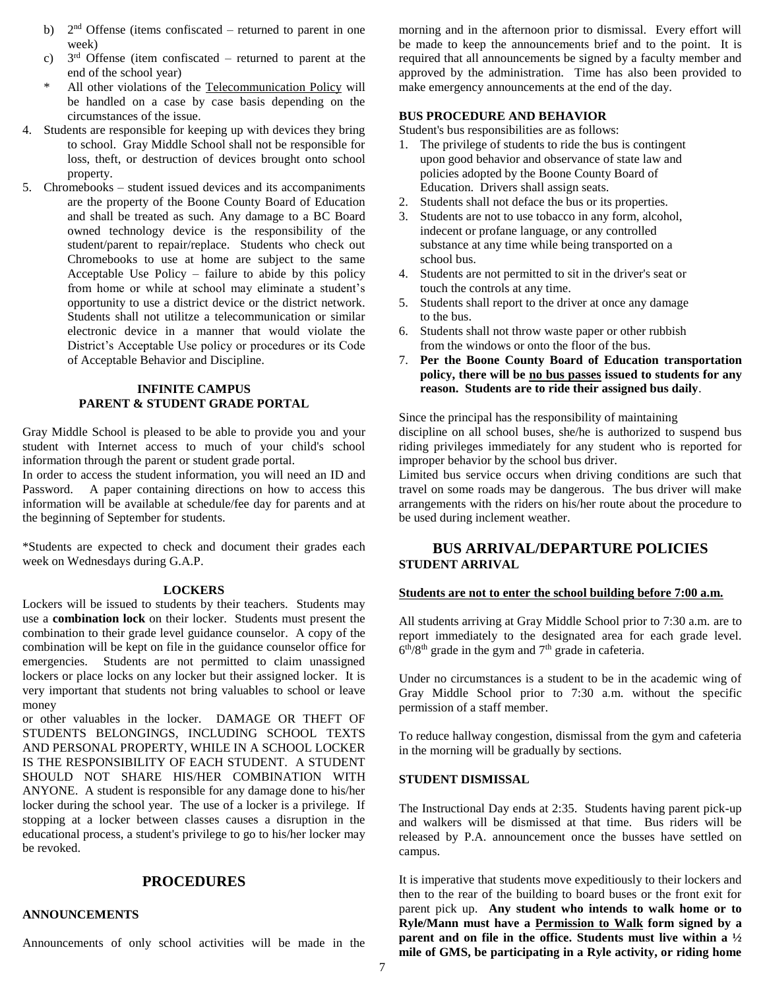- b)  $2<sup>nd</sup>$  Offense (items confiscated returned to parent in one week)
- c)  $3<sup>rd</sup>$  Offense (item confiscated returned to parent at the end of the school year)
- \* All other violations of the Telecommunication Policy will be handled on a case by case basis depending on the circumstances of the issue.
- 4. Students are responsible for keeping up with devices they bring to school. Gray Middle School shall not be responsible for loss, theft, or destruction of devices brought onto school property.
- 5. Chromebooks student issued devices and its accompaniments are the property of the Boone County Board of Education and shall be treated as such. Any damage to a BC Board owned technology device is the responsibility of the student/parent to repair/replace. Students who check out Chromebooks to use at home are subject to the same Acceptable Use Policy – failure to abide by this policy from home or while at school may eliminate a student's opportunity to use a district device or the district network. Students shall not utilitze a telecommunication or similar electronic device in a manner that would violate the District's Acceptable Use policy or procedures or its Code of Acceptable Behavior and Discipline.

## **INFINITE CAMPUS PARENT & STUDENT GRADE PORTAL**

Gray Middle School is pleased to be able to provide you and your student with Internet access to much of your child's school information through the parent or student grade portal.

In order to access the student information, you will need an ID and Password. A paper containing directions on how to access this information will be available at schedule/fee day for parents and at the beginning of September for students.

\*Students are expected to check and document their grades each week on Wednesdays during G.A.P.

## **LOCKERS**

Lockers will be issued to students by their teachers. Students may use a **combination lock** on their locker. Students must present the combination to their grade level guidance counselor. A copy of the combination will be kept on file in the guidance counselor office for emergencies. Students are not permitted to claim unassigned lockers or place locks on any locker but their assigned locker. It is very important that students not bring valuables to school or leave money

or other valuables in the locker. DAMAGE OR THEFT OF STUDENTS BELONGINGS, INCLUDING SCHOOL TEXTS AND PERSONAL PROPERTY, WHILE IN A SCHOOL LOCKER IS THE RESPONSIBILITY OF EACH STUDENT. A STUDENT SHOULD NOT SHARE HIS/HER COMBINATION WITH ANYONE. A student is responsible for any damage done to his/her locker during the school year. The use of a locker is a privilege. If stopping at a locker between classes causes a disruption in the educational process, a student's privilege to go to his/her locker may be revoked.

## **PROCEDURES**

## **ANNOUNCEMENTS**

Announcements of only school activities will be made in the

morning and in the afternoon prior to dismissal. Every effort will be made to keep the announcements brief and to the point. It is required that all announcements be signed by a faculty member and approved by the administration. Time has also been provided to make emergency announcements at the end of the day.

## **BUS PROCEDURE AND BEHAVIOR**

Student's bus responsibilities are as follows:

- 1. The privilege of students to ride the bus is contingent upon good behavior and observance of state law and policies adopted by the Boone County Board of Education. Drivers shall assign seats.
- 2. Students shall not deface the bus or its properties.
- 3. Students are not to use tobacco in any form, alcohol, indecent or profane language, or any controlled substance at any time while being transported on a school bus.
- 4. Students are not permitted to sit in the driver's seat or touch the controls at any time.
- 5. Students shall report to the driver at once any damage to the bus.
- 6. Students shall not throw waste paper or other rubbish from the windows or onto the floor of the bus.
- 7. **Per the Boone County Board of Education transportation policy, there will be no bus passes issued to students for any reason. Students are to ride their assigned bus daily**.

Since the principal has the responsibility of maintaining discipline on all school buses, she/he is authorized to suspend bus riding privileges immediately for any student who is reported for improper behavior by the school bus driver.

Limited bus service occurs when driving conditions are such that travel on some roads may be dangerous. The bus driver will make arrangements with the riders on his/her route about the procedure to be used during inclement weather.

## **BUS ARRIVAL/DEPARTURE POLICIES STUDENT ARRIVAL**

## **Students are not to enter the school building before 7:00 a.m.**

All students arriving at Gray Middle School prior to 7:30 a.m. are to report immediately to the designated area for each grade level.  $6<sup>th</sup>/8<sup>th</sup>$  grade in the gym and  $7<sup>th</sup>$  grade in cafeteria.

Under no circumstances is a student to be in the academic wing of Gray Middle School prior to 7:30 a.m. without the specific permission of a staff member.

To reduce hallway congestion, dismissal from the gym and cafeteria in the morning will be gradually by sections.

## **STUDENT DISMISSAL**

The Instructional Day ends at 2:35. Students having parent pick-up and walkers will be dismissed at that time. Bus riders will be released by P.A. announcement once the busses have settled on campus.

It is imperative that students move expeditiously to their lockers and then to the rear of the building to board buses or the front exit for parent pick up. **Any student who intends to walk home or to Ryle/Mann must have a Permission to Walk form signed by a parent and on file in the office. Students must live within a ½ mile of GMS, be participating in a Ryle activity, or riding home**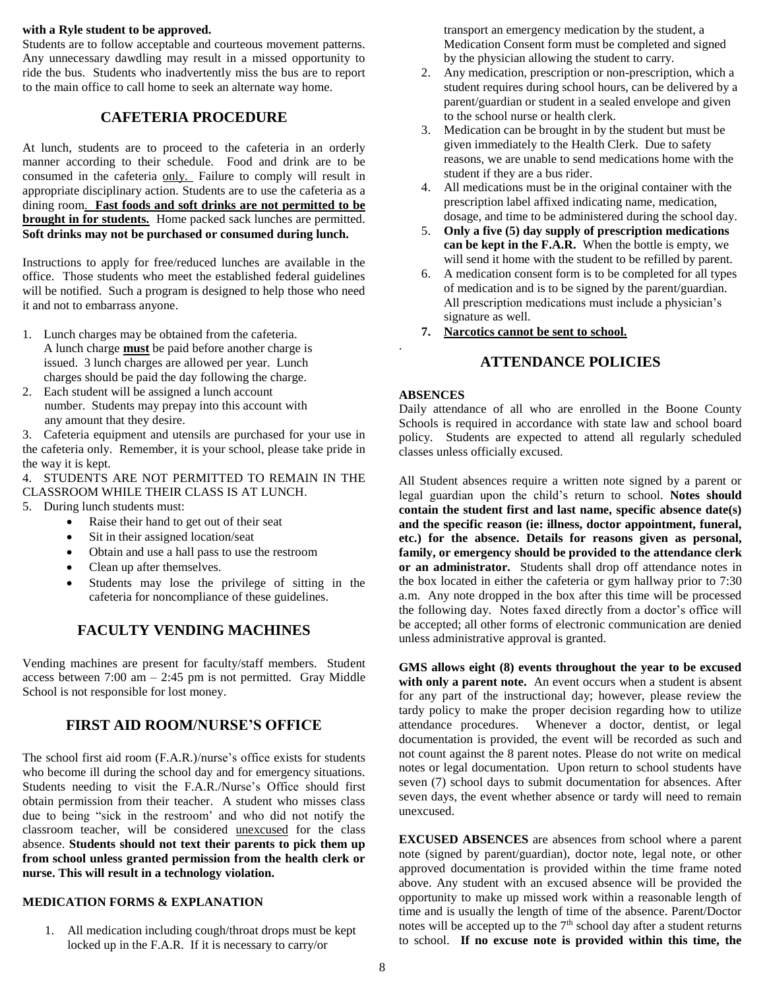#### **with a Ryle student to be approved.**

Students are to follow acceptable and courteous movement patterns. Any unnecessary dawdling may result in a missed opportunity to ride the bus. Students who inadvertently miss the bus are to report to the main office to call home to seek an alternate way home.

# **CAFETERIA PROCEDURE**

At lunch, students are to proceed to the cafeteria in an orderly manner according to their schedule. Food and drink are to be consumed in the cafeteria only. Failure to comply will result in appropriate disciplinary action. Students are to use the cafeteria as a dining room. **Fast foods and soft drinks are not permitted to be brought in for students.** Home packed sack lunches are permitted. **Soft drinks may not be purchased or consumed during lunch.** 

Instructions to apply for free/reduced lunches are available in the office. Those students who meet the established federal guidelines will be notified. Such a program is designed to help those who need it and not to embarrass anyone.

- 1. Lunch charges may be obtained from the cafeteria. A lunch charge **must** be paid before another charge is issued. 3 lunch charges are allowed per year. Lunch charges should be paid the day following the charge.
- 2. Each student will be assigned a lunch account number. Students may prepay into this account with any amount that they desire.

3. Cafeteria equipment and utensils are purchased for your use in the cafeteria only. Remember, it is your school, please take pride in the way it is kept.

4. STUDENTS ARE NOT PERMITTED TO REMAIN IN THE CLASSROOM WHILE THEIR CLASS IS AT LUNCH.

- 5. During lunch students must:
	- Raise their hand to get out of their seat
	- Sit in their assigned location/seat
	- Obtain and use a hall pass to use the restroom
	- Clean up after themselves.
	- Students may lose the privilege of sitting in the cafeteria for noncompliance of these guidelines.

# **FACULTY VENDING MACHINES**

Vending machines are present for faculty/staff members. Student access between  $7:00 \text{ am} - 2:45 \text{ pm}$  is not permitted. Gray Middle School is not responsible for lost money.

# **FIRST AID ROOM/NURSE'S OFFICE**

The school first aid room (F.A.R.)/nurse's office exists for students who become ill during the school day and for emergency situations. Students needing to visit the F.A.R./Nurse's Office should first obtain permission from their teacher. A student who misses class due to being "sick in the restroom' and who did not notify the classroom teacher, will be considered unexcused for the class absence. **Students should not text their parents to pick them up from school unless granted permission from the health clerk or nurse. This will result in a technology violation.**

# **MEDICATION FORMS & EXPLANATION**

1. All medication including cough/throat drops must be kept locked up in the F.A.R. If it is necessary to carry/or

transport an emergency medication by the student, a Medication Consent form must be completed and signed by the physician allowing the student to carry.

- 2. Any medication, prescription or non-prescription, which a student requires during school hours, can be delivered by a parent/guardian or student in a sealed envelope and given to the school nurse or health clerk.
- 3. Medication can be brought in by the student but must be given immediately to the Health Clerk. Due to safety reasons, we are unable to send medications home with the student if they are a bus rider.
- 4. All medications must be in the original container with the prescription label affixed indicating name, medication, dosage, and time to be administered during the school day.
- 5. **Only a five (5) day supply of prescription medications can be kept in the F.A.R.** When the bottle is empty, we will send it home with the student to be refilled by parent.
- 6. A medication consent form is to be completed for all types of medication and is to be signed by the parent/guardian. All prescription medications must include a physician's signature as well.
- **7. Narcotics cannot be sent to school.**

# **ATTENDANCE POLICIES**

# **ABSENCES**

.

Daily attendance of all who are enrolled in the Boone County Schools is required in accordance with state law and school board policy. Students are expected to attend all regularly scheduled classes unless officially excused.

All Student absences require a written note signed by a parent or legal guardian upon the child's return to school. **Notes should contain the student first and last name, specific absence date(s) and the specific reason (ie: illness, doctor appointment, funeral, etc.) for the absence. Details for reasons given as personal, family, or emergency should be provided to the attendance clerk or an administrator.** Students shall drop off attendance notes in the box located in either the cafeteria or gym hallway prior to 7:30 a.m. Any note dropped in the box after this time will be processed the following day. Notes faxed directly from a doctor's office will be accepted; all other forms of electronic communication are denied unless administrative approval is granted.

**GMS allows eight (8) events throughout the year to be excused**  with only a parent note. An event occurs when a student is absent for any part of the instructional day; however, please review the tardy policy to make the proper decision regarding how to utilize attendance procedures. Whenever a doctor, dentist, or legal documentation is provided, the event will be recorded as such and not count against the 8 parent notes. Please do not write on medical notes or legal documentation. Upon return to school students have seven (7) school days to submit documentation for absences. After seven days, the event whether absence or tardy will need to remain unexcused.

**EXCUSED ABSENCES** are absences from school where a parent note (signed by parent/guardian), doctor note, legal note, or other approved documentation is provided within the time frame noted above. Any student with an excused absence will be provided the opportunity to make up missed work within a reasonable length of time and is usually the length of time of the absence. Parent/Doctor notes will be accepted up to the  $7<sup>th</sup>$  school day after a student returns to school. **If no excuse note is provided within this time, the**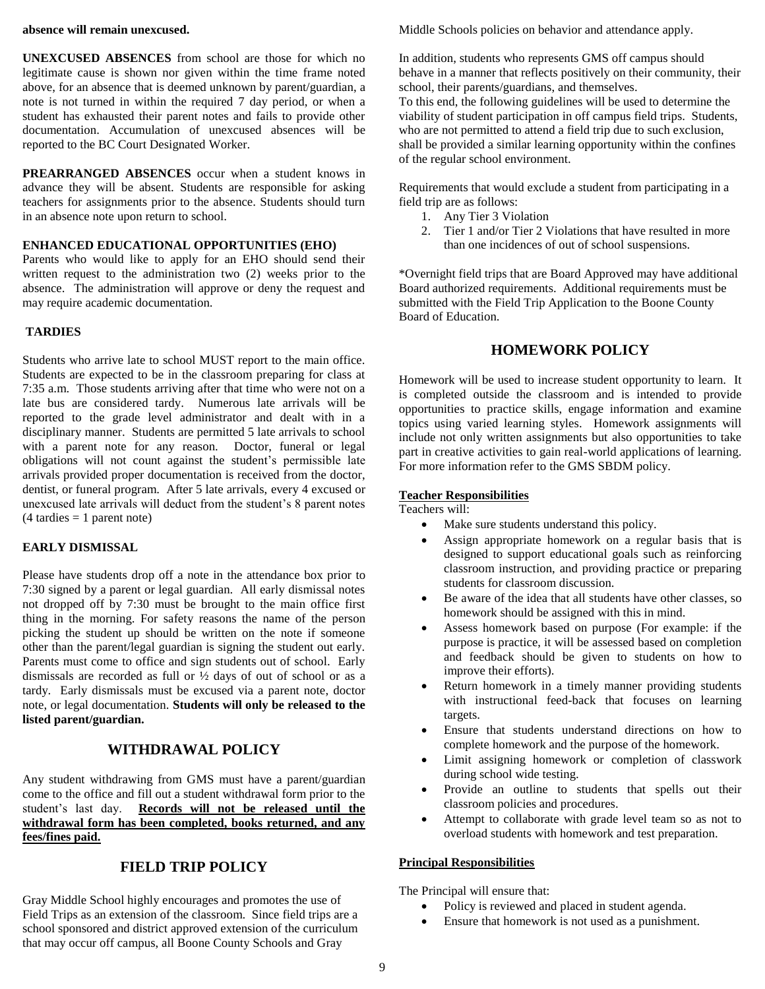#### **absence will remain unexcused.**

**UNEXCUSED ABSENCES** from school are those for which no legitimate cause is shown nor given within the time frame noted above, for an absence that is deemed unknown by parent/guardian, a note is not turned in within the required 7 day period, or when a student has exhausted their parent notes and fails to provide other documentation. Accumulation of unexcused absences will be reported to the BC Court Designated Worker.

**PREARRANGED ABSENCES** occur when a student knows in advance they will be absent. Students are responsible for asking teachers for assignments prior to the absence. Students should turn in an absence note upon return to school.

## **ENHANCED EDUCATIONAL OPPORTUNITIES (EHO)**

Parents who would like to apply for an EHO should send their written request to the administration two (2) weeks prior to the absence. The administration will approve or deny the request and may require academic documentation.

## **TARDIES**

Students who arrive late to school MUST report to the main office. Students are expected to be in the classroom preparing for class at 7:35 a.m. Those students arriving after that time who were not on a late bus are considered tardy. Numerous late arrivals will be reported to the grade level administrator and dealt with in a disciplinary manner. Students are permitted 5 late arrivals to school with a parent note for any reason. Doctor, funeral or legal obligations will not count against the student's permissible late arrivals provided proper documentation is received from the doctor, dentist, or funeral program. After 5 late arrivals, every 4 excused or unexcused late arrivals will deduct from the student's 8 parent notes  $(4 \text{ tardies} = 1 \text{ parent note})$ 

#### **EARLY DISMISSAL**

Please have students drop off a note in the attendance box prior to 7:30 signed by a parent or legal guardian. All early dismissal notes not dropped off by 7:30 must be brought to the main office first thing in the morning. For safety reasons the name of the person picking the student up should be written on the note if someone other than the parent/legal guardian is signing the student out early. Parents must come to office and sign students out of school. Early dismissals are recorded as full or  $\frac{1}{2}$  days of out of school or as a tardy. Early dismissals must be excused via a parent note, doctor note, or legal documentation. **Students will only be released to the listed parent/guardian.**

# **WITHDRAWAL POLICY**

Any student withdrawing from GMS must have a parent/guardian come to the office and fill out a student withdrawal form prior to the student's last day. **Records will not be released until the withdrawal form has been completed, books returned, and any fees/fines paid.**

## **FIELD TRIP POLICY**

Gray Middle School highly encourages and promotes the use of Field Trips as an extension of the classroom. Since field trips are a school sponsored and district approved extension of the curriculum that may occur off campus, all Boone County Schools and Gray

Middle Schools policies on behavior and attendance apply.

In addition, students who represents GMS off campus should behave in a manner that reflects positively on their community, their school, their parents/guardians, and themselves.

To this end, the following guidelines will be used to determine the viability of student participation in off campus field trips. Students, who are not permitted to attend a field trip due to such exclusion, shall be provided a similar learning opportunity within the confines of the regular school environment.

Requirements that would exclude a student from participating in a field trip are as follows:

- 1. Any Tier 3 Violation
- 2. Tier 1 and/or Tier 2 Violations that have resulted in more than one incidences of out of school suspensions.

\*Overnight field trips that are Board Approved may have additional Board authorized requirements. Additional requirements must be submitted with the Field Trip Application to the Boone County Board of Education.

# **HOMEWORK POLICY**

Homework will be used to increase student opportunity to learn. It is completed outside the classroom and is intended to provide opportunities to practice skills, engage information and examine topics using varied learning styles. Homework assignments will include not only written assignments but also opportunities to take part in creative activities to gain real-world applications of learning. For more information refer to the GMS SBDM policy.

### **Teacher Responsibilities**

Teachers will:

- Make sure students understand this policy.
- Assign appropriate homework on a regular basis that is designed to support educational goals such as reinforcing classroom instruction, and providing practice or preparing students for classroom discussion.
- Be aware of the idea that all students have other classes, so homework should be assigned with this in mind.
- Assess homework based on purpose (For example: if the purpose is practice, it will be assessed based on completion and feedback should be given to students on how to improve their efforts).
- Return homework in a timely manner providing students with instructional feed-back that focuses on learning targets.
- Ensure that students understand directions on how to complete homework and the purpose of the homework.
- Limit assigning homework or completion of classwork during school wide testing.
- Provide an outline to students that spells out their classroom policies and procedures.
- Attempt to collaborate with grade level team so as not to overload students with homework and test preparation.

## **Principal Responsibilities**

The Principal will ensure that:

- Policy is reviewed and placed in student agenda.
- Ensure that homework is not used as a punishment.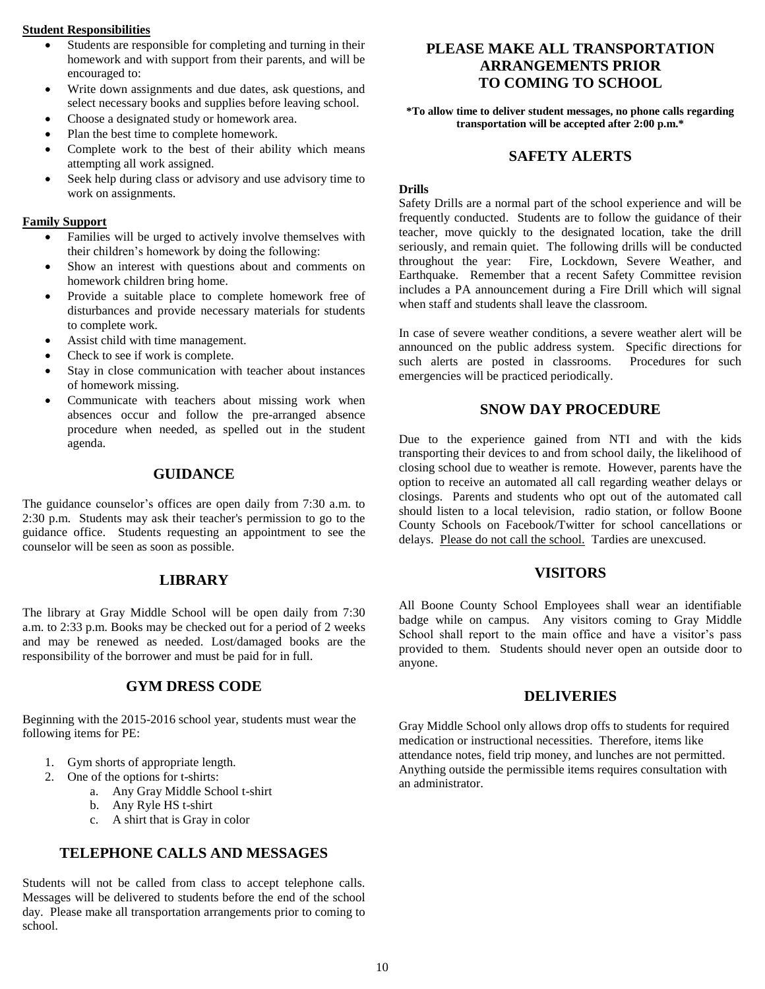### **Student Responsibilities**

- Students are responsible for completing and turning in their homework and with support from their parents, and will be encouraged to:
- Write down assignments and due dates, ask questions, and select necessary books and supplies before leaving school.
- Choose a designated study or homework area.
- Plan the best time to complete homework.
- Complete work to the best of their ability which means attempting all work assigned.
- Seek help during class or advisory and use advisory time to work on assignments.

#### **Family Support**

- Families will be urged to actively involve themselves with their children's homework by doing the following:
- Show an interest with questions about and comments on homework children bring home.
- Provide a suitable place to complete homework free of disturbances and provide necessary materials for students to complete work.
- Assist child with time management.
- Check to see if work is complete.
- Stay in close communication with teacher about instances of homework missing.
- Communicate with teachers about missing work when absences occur and follow the pre-arranged absence procedure when needed, as spelled out in the student agenda.

## **GUIDANCE**

The guidance counselor's offices are open daily from 7:30 a.m. to 2:30 p.m. Students may ask their teacher's permission to go to the guidance office. Students requesting an appointment to see the counselor will be seen as soon as possible.

## **LIBRARY**

The library at Gray Middle School will be open daily from 7:30 a.m. to 2:33 p.m. Books may be checked out for a period of 2 weeks and may be renewed as needed. Lost/damaged books are the responsibility of the borrower and must be paid for in full.

## **GYM DRESS CODE**

Beginning with the 2015-2016 school year, students must wear the following items for PE:

- 1. Gym shorts of appropriate length.
- 2. One of the options for t-shirts:
	- a. Any Gray Middle School t-shirt
	- b. Any Ryle HS t-shirt
	- c. A shirt that is Gray in color

## **TELEPHONE CALLS AND MESSAGES**

Students will not be called from class to accept telephone calls. Messages will be delivered to students before the end of the school day. Please make all transportation arrangements prior to coming to school.

# **PLEASE MAKE ALL TRANSPORTATION ARRANGEMENTS PRIOR TO COMING TO SCHOOL**

**\*To allow time to deliver student messages, no phone calls regarding transportation will be accepted after 2:00 p.m.\***

## **SAFETY ALERTS**

#### **Drills**

Safety Drills are a normal part of the school experience and will be frequently conducted. Students are to follow the guidance of their teacher, move quickly to the designated location, take the drill seriously, and remain quiet. The following drills will be conducted throughout the year: Fire, Lockdown, Severe Weather, and Earthquake. Remember that a recent Safety Committee revision includes a PA announcement during a Fire Drill which will signal when staff and students shall leave the classroom.

In case of severe weather conditions, a severe weather alert will be announced on the public address system. Specific directions for such alerts are posted in classrooms. Procedures for such emergencies will be practiced periodically.

## **SNOW DAY PROCEDURE**

Due to the experience gained from NTI and with the kids transporting their devices to and from school daily, the likelihood of closing school due to weather is remote. However, parents have the option to receive an automated all call regarding weather delays or closings. Parents and students who opt out of the automated call should listen to a local television, radio station, or follow Boone County Schools on Facebook/Twitter for school cancellations or delays. Please do not call the school. Tardies are unexcused.

## **VISITORS**

All Boone County School Employees shall wear an identifiable badge while on campus. Any visitors coming to Gray Middle School shall report to the main office and have a visitor's pass provided to them. Students should never open an outside door to anyone.

## **DELIVERIES**

Gray Middle School only allows drop offs to students for required medication or instructional necessities. Therefore, items like attendance notes, field trip money, and lunches are not permitted. Anything outside the permissible items requires consultation with an administrator.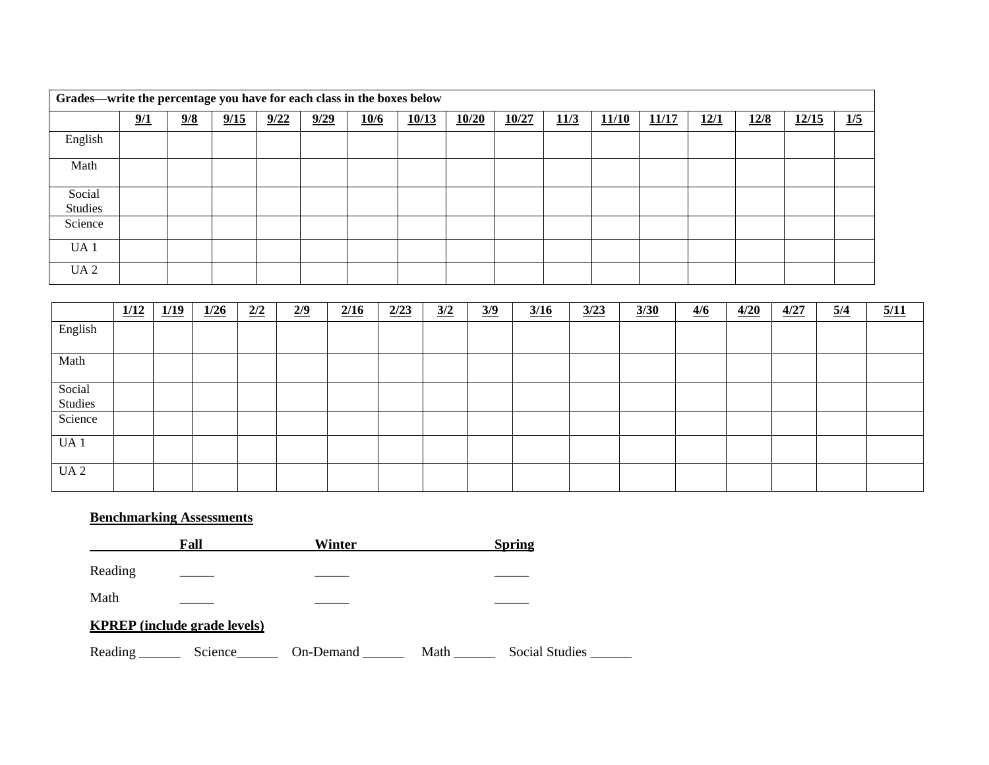| Grades—write the percentage you have for each class in the boxes below |     |               |      |      |      |      |       |       |       |      |       |       |      |      |       |     |
|------------------------------------------------------------------------|-----|---------------|------|------|------|------|-------|-------|-------|------|-------|-------|------|------|-------|-----|
|                                                                        | 9/1 | $\frac{9}{8}$ | 9/15 | 9/22 | 9/29 | 10/6 | 10/13 | 10/20 | 10/27 | 11/3 | 11/10 | 11/17 | 12/1 | 12/8 | 12/15 | 1/5 |
| English                                                                |     |               |      |      |      |      |       |       |       |      |       |       |      |      |       |     |
| Math                                                                   |     |               |      |      |      |      |       |       |       |      |       |       |      |      |       |     |
| Social<br>Studies                                                      |     |               |      |      |      |      |       |       |       |      |       |       |      |      |       |     |
| Science                                                                |     |               |      |      |      |      |       |       |       |      |       |       |      |      |       |     |
| UA <sub>1</sub>                                                        |     |               |      |      |      |      |       |       |       |      |       |       |      |      |       |     |
| UA2                                                                    |     |               |      |      |      |      |       |       |       |      |       |       |      |      |       |     |

|                 | 1/12 | 1/19 | 1/26 | 2/2 | $\frac{2}{9}$ | 2/16 | 2/23 | $\frac{3}{2}$ | $\frac{3}{9}$ | 3/16 | 3/23 | 3/30 | $\frac{4}{6}$ | 4/20 | 4/27 | $\frac{5}{4}$ | 5/11 |
|-----------------|------|------|------|-----|---------------|------|------|---------------|---------------|------|------|------|---------------|------|------|---------------|------|
| English         |      |      |      |     |               |      |      |               |               |      |      |      |               |      |      |               |      |
| Math            |      |      |      |     |               |      |      |               |               |      |      |      |               |      |      |               |      |
| Social          |      |      |      |     |               |      |      |               |               |      |      |      |               |      |      |               |      |
| Studies         |      |      |      |     |               |      |      |               |               |      |      |      |               |      |      |               |      |
| Science         |      |      |      |     |               |      |      |               |               |      |      |      |               |      |      |               |      |
| UA <sub>1</sub> |      |      |      |     |               |      |      |               |               |      |      |      |               |      |      |               |      |
| UA <sub>2</sub> |      |      |      |     |               |      |      |               |               |      |      |      |               |      |      |               |      |

## **Benchmarking Assessments**

**Fall Winter Spring** Reading \_\_\_\_\_ \_\_\_\_\_ \_\_\_\_\_ Math  $\qquad \qquad \qquad \qquad$ **KPREP (include grade levels)**

Reading \_\_\_\_\_\_\_ Science\_\_\_\_\_\_\_ On-Demand \_\_\_\_\_\_\_ Math \_\_\_\_\_\_ Social Studies \_\_\_\_\_\_